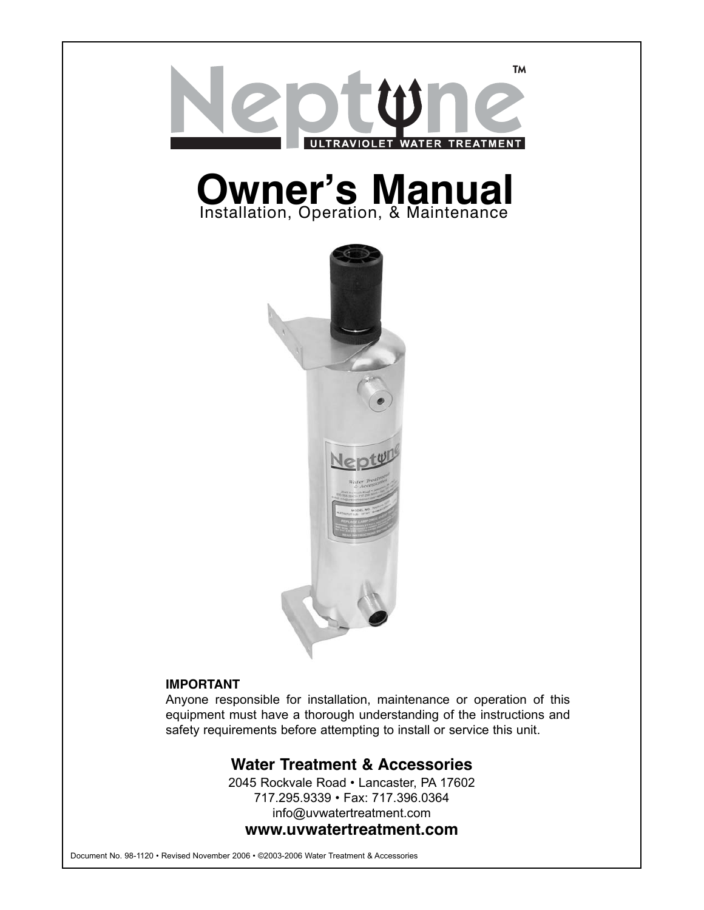

# **Owner's Manual**



## **IMPORTANT**

Anyone responsible for installation, maintenance or operation of this equipment must have a thorough understanding of the instructions and safety requirements before attempting to install or service this unit.

## **Water Treatment & Accessories**

2045 Rockvale Road • Lancaster, PA 17602 717.295.9339 • Fax: 717.396.0364 info@uvwatertreatment.com **www.uvwatertreatment.com**

Document No. 98-1120 • Revised November 2006 • ©2003-2006 Water Treatment & Accessories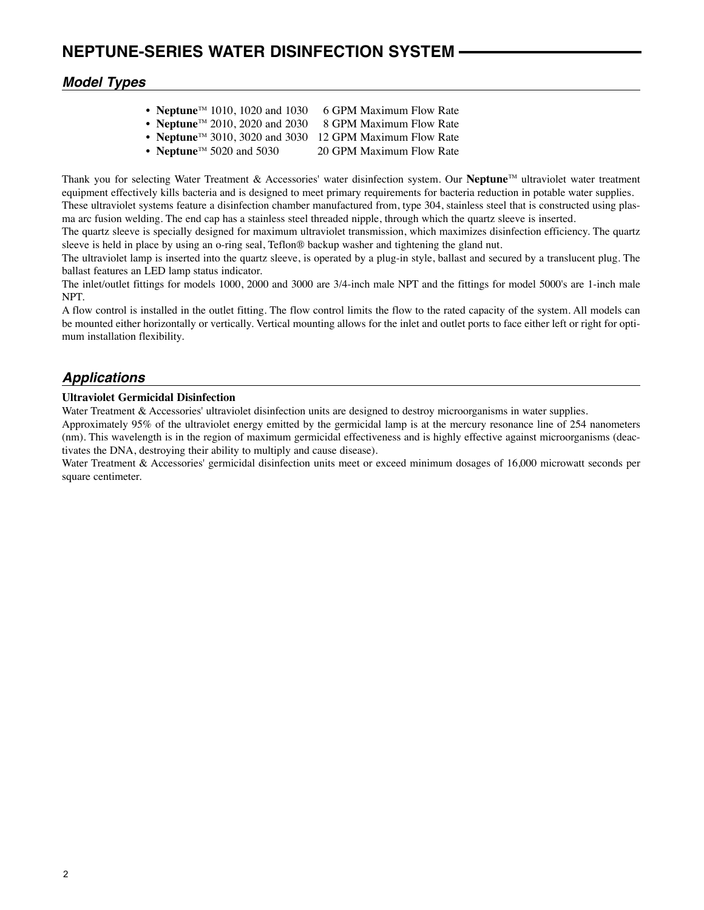## *Model Types*

- **Neptune**<sup>TM</sup> 1010, 1020 and 1030 6 GPM Maximum Flow Rate
- **Neptune**<sup>™</sup> 2010, 2020 and 2030 8 GPM Maximum Flow Rate
- **Neptune**<sup>™</sup> 3010, 3020 and 3030 12 GPM Maximum Flow Rate
- **Neptune**<sup>™</sup> 5020 and 5030 20 GPM Maximum Flow Rate

Thank you for selecting Water Treatment & Accessories' water disinfection system. Our **Neptune**TM ultraviolet water treatment equipment effectively kills bacteria and is designed to meet primary requirements for bacteria reduction in potable water supplies. These ultraviolet systems feature a disinfection chamber manufactured from, type 304, stainless steel that is constructed using plas-

ma arc fusion welding. The end cap has a stainless steel threaded nipple, through which the quartz sleeve is inserted. The quartz sleeve is specially designed for maximum ultraviolet transmission, which maximizes disinfection efficiency. The quartz

sleeve is held in place by using an o-ring seal, Teflon® backup washer and tightening the gland nut.

The ultraviolet lamp is inserted into the quartz sleeve, is operated by a plug-in style, ballast and secured by a translucent plug. The ballast features an LED lamp status indicator.

The inlet/outlet fittings for models 1000, 2000 and 3000 are 3/4-inch male NPT and the fittings for model 5000's are 1-inch male NPT.

A flow control is installed in the outlet fitting. The flow control limits the flow to the rated capacity of the system. All models can be mounted either horizontally or vertically. Vertical mounting allows for the inlet and outlet ports to face either left or right for optimum installation flexibility.

## *Applications*

#### **Ultraviolet Germicidal Disinfection**

Water Treatment & Accessories' ultraviolet disinfection units are designed to destroy microorganisms in water supplies.

Approximately 95% of the ultraviolet energy emitted by the germicidal lamp is at the mercury resonance line of 254 nanometers (nm). This wavelength is in the region of maximum germicidal effectiveness and is highly effective against microorganisms (deactivates the DNA, destroying their ability to multiply and cause disease).

Water Treatment & Accessories' germicidal disinfection units meet or exceed minimum dosages of 16,000 microwatt seconds per square centimeter.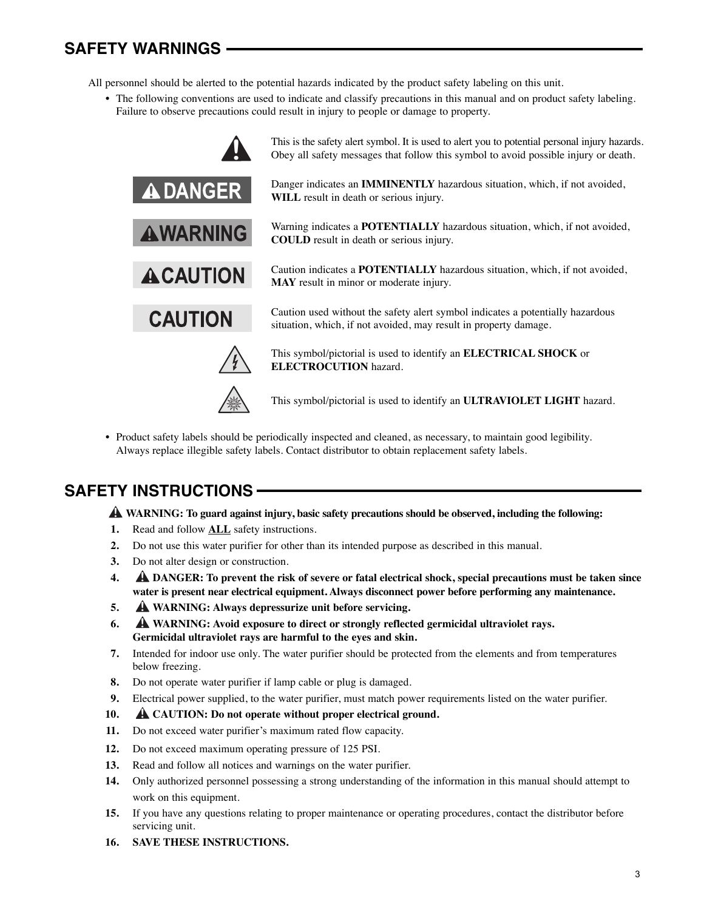# **SAFETY WARNINGS**

All personnel should be alerted to the potential hazards indicated by the product safety labeling on this unit.

• The following conventions are used to indicate and classify precautions in this manual and on product safety labeling. Failure to observe precautions could result in injury to people or damage to property.



• Product safety labels should be periodically inspected and cleaned, as necessary, to maintain good legibility. Always replace illegible safety labels. Contact distributor to obtain replacement safety labels.

# **SAFETY INSTRUCTIONS**

**WARNING: To guard against injury, basic safety precautions should be observed, including the following: !**

- **1.** Read and follow **ALL** safety instructions.
- **2.** Do not use this water purifier for other than its intended purpose as described in this manual.
- **3.** Do not alter design or construction.
- **4. DANGER: To prevent the risk of severe or fatal electrical shock, special precautions must be taken since ! water is present near electrical equipment. Always disconnect power before performing any maintenance.**
- **5. WARNING: Always depressurize unit before servicing. !**
- **6. WARNING: Avoid exposure to direct or strongly reflected germicidal ultraviolet rays. ! Germicidal ultraviolet rays are harmful to the eyes and skin.**
- **7.** Intended for indoor use only. The water purifier should be protected from the elements and from temperatures below freezing.
- **8.** Do not operate water purifier if lamp cable or plug is damaged.
- **9.** Electrical power supplied, to the water purifier, must match power requirements listed on the water purifier.
- 10. **A** CAUTION: Do not operate without proper electrical ground.
- **11.** Do not exceed water purifier's maximum rated flow capacity.
- **12.** Do not exceed maximum operating pressure of 125 PSI.
- **13.** Read and follow all notices and warnings on the water purifier.
- **14.** Only authorized personnel possessing a strong understanding of the information in this manual should attempt to work on this equipment.
- **15.** If you have any questions relating to proper maintenance or operating procedures, contact the distributor before servicing unit.
- **16. SAVE THESE INSTRUCTIONS.**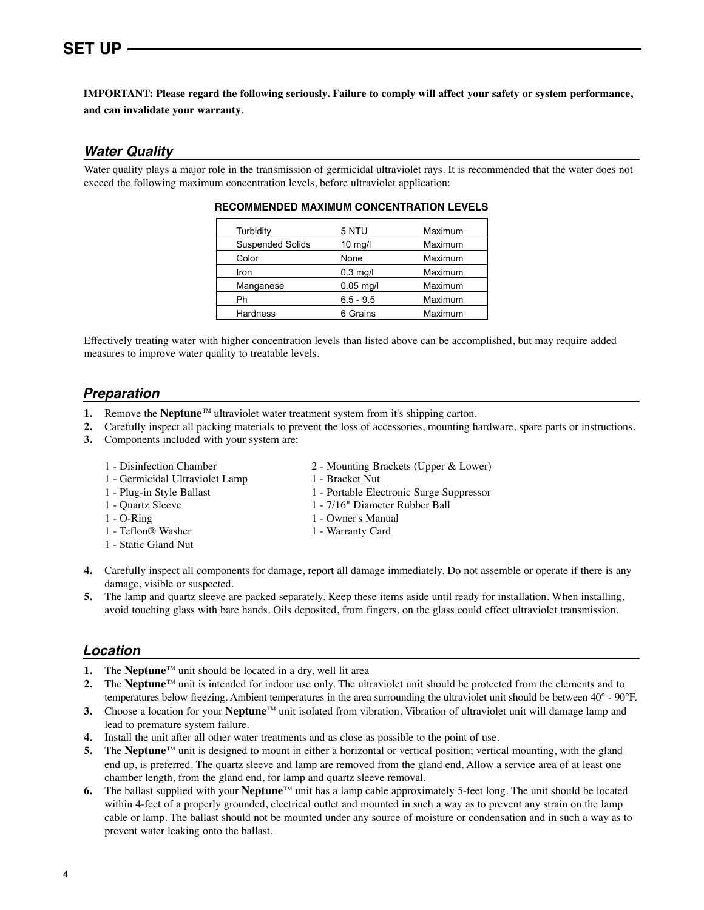## **IMPORTANT: Please regard the following seriously. Failure to comply will affect your safety or system performance, and can invalidate your warranty**.

## *Water Quality*

Water quality plays a major role in the transmission of germicidal ultraviolet rays. It is recommended that the water does not exceed the following maximum concentration levels, before ultraviolet application:

| Turbidity               | 5 NTU       | Maximum |
|-------------------------|-------------|---------|
| <b>Suspended Solids</b> | $10$ mg/l   | Maximum |
| Color                   | None        | Maximum |
| Iron                    | $0.3$ mg/l  | Maximum |
| Manganese               | $0.05$ mg/l | Maximum |
| Ph                      | $6.5 - 9.5$ | Maximum |
| <b>Hardness</b>         | 6 Grains    | Maximum |

#### **RECOMMENDED MAXIMUM CONCENTRATION LEVELS**

Effectively treating water with higher concentration levels than listed above can be accomplished, but may require added measures to improve water quality to treatable levels.

## *Preparation*

- **1.** Remove the **Neptune**<sup>™</sup> ultraviolet water treatment system from it's shipping carton.
- **2.** Carefully inspect all packing materials to prevent the loss of accessories, mounting hardware, spare parts or instructions.
- **3.** Components included with your system are:
	-
	- 1 Germicidal Ultraviolet Lamp 1 Bracket Nut
	-
	-
	-
	- 1 Teflon® Washer 1 Warranty Card
	- 1 Static Gland Nut
	- 1 Disinfection Chamber 2 Mounting Brackets (Upper & Lower)
		-
	- 1 Plug-in Style Ballast 1 Portable Electronic Surge Suppressor
	- 1 Quartz Sleeve 1 7/16" Diameter Rubber Ball
	- 1 O-Ring 1 Owner's Manual
		-
- **4.** Carefully inspect all components for damage, report all damage immediately. Do not assemble or operate if there is any damage, visible or suspected.
- **5.** The lamp and quartz sleeve are packed separately. Keep these items aside until ready for installation. When installing, avoid touching glass with bare hands. Oils deposited, from fingers, on the glass could effect ultraviolet transmission.

## *Location*

- **1.** The **Neptune**<sup>TM</sup> unit should be located in a dry, well lit area
- **2.** The **Neptune**<sup> $M$ </sup> unit is intended for indoor use only. The ultraviolet unit should be protected from the elements and to temperatures below freezing. Ambient temperatures in the area surrounding the ultraviolet unit should be between 40° - 90°F.
- **3.** Choose a location for your **Neptune**<sup>TM</sup> unit isolated from vibration. Vibration of ultraviolet unit will damage lamp and lead to premature system failure.
- **4.** Install the unit after all other water treatments and as close as possible to the point of use.
- **5.** The **Neptune**<sup>™</sup> unit is designed to mount in either a horizontal or vertical position; vertical mounting, with the gland end up, is preferred. The quartz sleeve and lamp are removed from the gland end. Allow a service area of at least one chamber length, from the gland end, for lamp and quartz sleeve removal.
- **6.** The ballast supplied with your **Neptune**™ unit has a lamp cable approximately 5-feet long. The unit should be located within 4-feet of a properly grounded, electrical outlet and mounted in such a way as to prevent any strain on the lamp cable or lamp. The ballast should not be mounted under any source of moisture or condensation and in such a way as to prevent water leaking onto the ballast.
- 4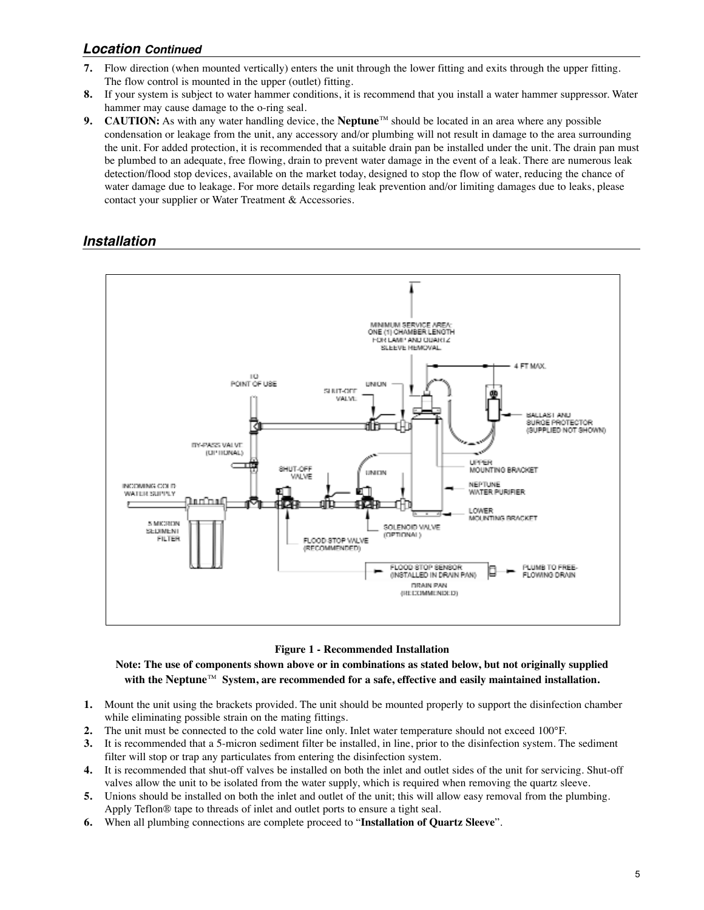## *Location Continued*

- **7.** Flow direction (when mounted vertically) enters the unit through the lower fitting and exits through the upper fitting. The flow control is mounted in the upper (outlet) fitting.
- **8.** If your system is subject to water hammer conditions, it is recommend that you install a water hammer suppressor. Water hammer may cause damage to the o-ring seal.
- **9.** CAUTION: As with any water handling device, the **Neptune**™ should be located in an area where any possible condensation or leakage from the unit, any accessory and/or plumbing will not result in damage to the area surrounding the unit. For added protection, it is recommended that a suitable drain pan be installed under the unit. The drain pan must be plumbed to an adequate, free flowing, drain to prevent water damage in the event of a leak. There are numerous leak detection/flood stop devices, available on the market today, designed to stop the flow of water, reducing the chance of water damage due to leakage. For more details regarding leak prevention and/or limiting damages due to leaks, please contact your supplier or Water Treatment & Accessories.

## *Installation*



#### **Figure 1 - Recommended Installation**

**Note: The use of components shown above or in combinations as stated below, but not originally supplied with the Neptune**TM **System, are recommended for a safe, effective and easily maintained installation.**

- **1.** Mount the unit using the brackets provided. The unit should be mounted properly to support the disinfection chamber while eliminating possible strain on the mating fittings.
- **2.** The unit must be connected to the cold water line only. Inlet water temperature should not exceed 100°F.
- **3.** It is recommended that a 5-micron sediment filter be installed, in line, prior to the disinfection system. The sediment filter will stop or trap any particulates from entering the disinfection system.
- **4.** It is recommended that shut-off valves be installed on both the inlet and outlet sides of the unit for servicing. Shut-off valves allow the unit to be isolated from the water supply, which is required when removing the quartz sleeve.
- **5.** Unions should be installed on both the inlet and outlet of the unit; this will allow easy removal from the plumbing. Apply Teflon® tape to threads of inlet and outlet ports to ensure a tight seal.
- **6.** When all plumbing connections are complete proceed to "**Installation of Quartz Sleeve**".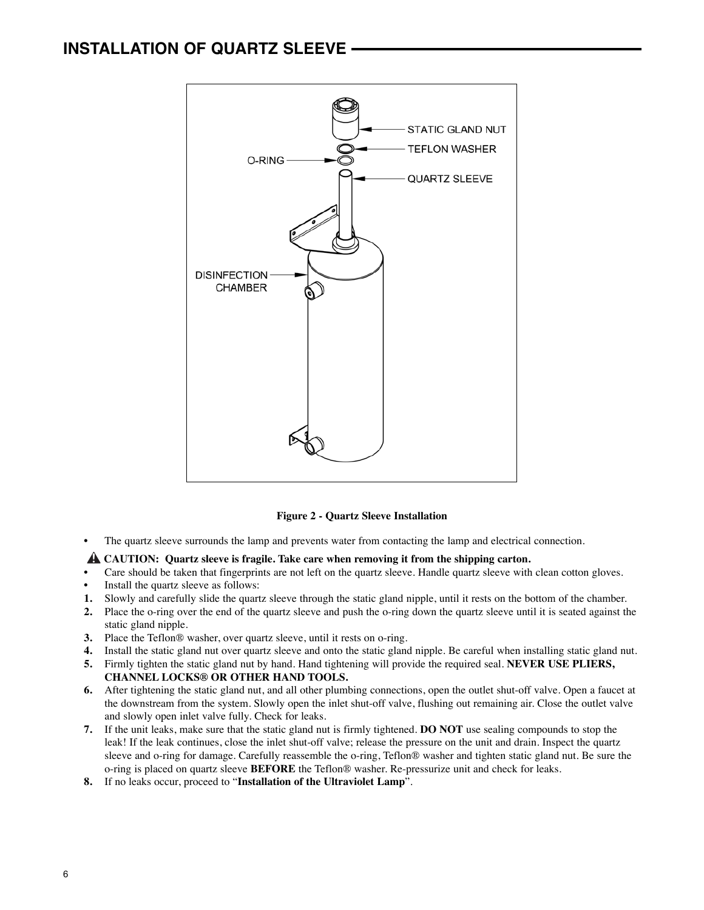

**Figure 2 - Quartz Sleeve Installation**

The quartz sleeve surrounds the lamp and prevents water from contacting the lamp and electrical connection.

#### $\hat{}$  CAUTION: Quartz sleeve is fragile. Take care when removing it from the shipping carton.

- Care should be taken that fingerprints are not left on the quartz sleeve. Handle quartz sleeve with clean cotton gloves.
- Install the quartz sleeve as follows:
- **1.** Slowly and carefully slide the quartz sleeve through the static gland nipple, until it rests on the bottom of the chamber.
- **2.** Place the o-ring over the end of the quartz sleeve and push the o-ring down the quartz sleeve until it is seated against the static gland nipple.
- **3.** Place the Teflon® washer, over quartz sleeve, until it rests on o-ring.
- **4.** Install the static gland nut over quartz sleeve and onto the static gland nipple. Be careful when installing static gland nut.
- **5.** Firmly tighten the static gland nut by hand. Hand tightening will provide the required seal. **NEVER USE PLIERS, CHANNEL LOCKS® OR OTHER HAND TOOLS.**
- **6.** After tightening the static gland nut, and all other plumbing connections, open the outlet shut-off valve. Open a faucet at the downstream from the system. Slowly open the inlet shut-off valve, flushing out remaining air. Close the outlet valve and slowly open inlet valve fully. Check for leaks.
- **7.** If the unit leaks, make sure that the static gland nut is firmly tightened. **DO NOT** use sealing compounds to stop the leak! If the leak continues, close the inlet shut-off valve; release the pressure on the unit and drain. Inspect the quartz sleeve and o-ring for damage. Carefully reassemble the o-ring, Teflon® washer and tighten static gland nut. Be sure the o-ring is placed on quartz sleeve **BEFORE** the Teflon® washer. Re-pressurize unit and check for leaks.
- **8.** If no leaks occur, proceed to "**Installation of the Ultraviolet Lamp**".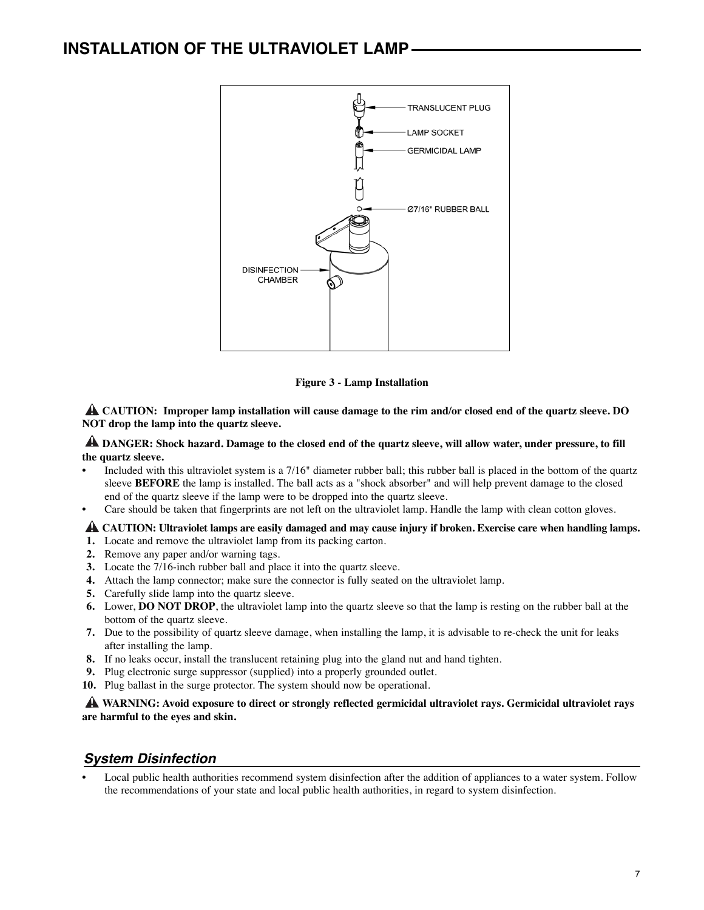

**Figure 3 - Lamp Installation**

**CAUTION: Improper lamp installation will cause damage to the rim and/or closed end of the quartz sleeve. DO !NOT drop the lamp into the quartz sleeve.**

**DANGER: Shock hazard. Damage to the closed end of the quartz sleeve, will allow water, under pressure, to fill ! the quartz sleeve.**

- Included with this ultraviolet system is a 7/16" diameter rubber ball; this rubber ball is placed in the bottom of the quartz sleeve **BEFORE** the lamp is installed. The ball acts as a "shock absorber" and will help prevent damage to the closed end of the quartz sleeve if the lamp were to be dropped into the quartz sleeve.
- Care should be taken that fingerprints are not left on the ultraviolet lamp. Handle the lamp with clean cotton gloves.

**CAUTION: Ultraviolet lamps are easily damaged and may cause injury if broken. Exercise care when handling lamps. !**

- **1.** Locate and remove the ultraviolet lamp from its packing carton.
- **2.** Remove any paper and/or warning tags.
- **3.** Locate the 7/16-inch rubber ball and place it into the quartz sleeve.
- **4.** Attach the lamp connector; make sure the connector is fully seated on the ultraviolet lamp.
- **5.** Carefully slide lamp into the quartz sleeve.
- **6.** Lower, **DO NOT DROP**, the ultraviolet lamp into the quartz sleeve so that the lamp is resting on the rubber ball at the bottom of the quartz sleeve.
- **7.** Due to the possibility of quartz sleeve damage, when installing the lamp, it is advisable to re-check the unit for leaks after installing the lamp.
- **8.** If no leaks occur, install the translucent retaining plug into the gland nut and hand tighten.
- **9.** Plug electronic surge suppressor (supplied) into a properly grounded outlet.
- **10.** Plug ballast in the surge protector. The system should now be operational.

**WARNING: Avoid exposure to direct or strongly reflected germicidal ultraviolet rays. Germicidal ultraviolet rays ! are harmful to the eyes and skin.**

## *System Disinfection*

• Local public health authorities recommend system disinfection after the addition of appliances to a water system. Follow the recommendations of your state and local public health authorities, in regard to system disinfection.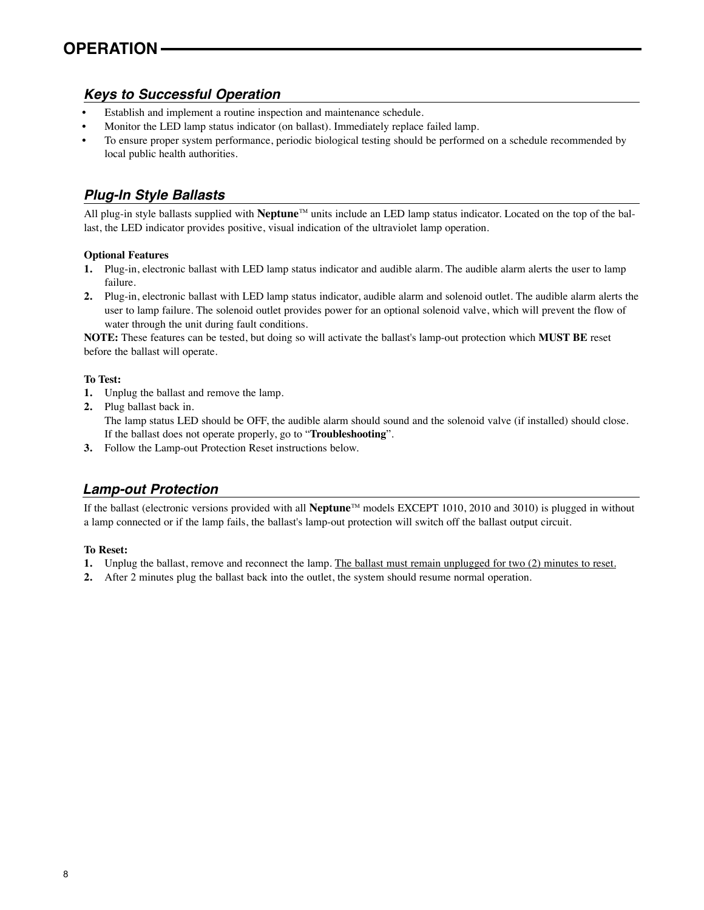## *Keys to Successful Operation*

- Establish and implement a routine inspection and maintenance schedule.
- Monitor the LED lamp status indicator (on ballast). Immediately replace failed lamp.
- To ensure proper system performance, periodic biological testing should be performed on a schedule recommended by local public health authorities.

## *Plug-In Style Ballasts*

All plug-in style ballasts supplied with **Neptune**TM units include an LED lamp status indicator. Located on the top of the ballast, the LED indicator provides positive, visual indication of the ultraviolet lamp operation.

#### **Optional Features**

- **1.** Plug-in, electronic ballast with LED lamp status indicator and audible alarm. The audible alarm alerts the user to lamp failure.
- **2.** Plug-in, electronic ballast with LED lamp status indicator, audible alarm and solenoid outlet. The audible alarm alerts the user to lamp failure. The solenoid outlet provides power for an optional solenoid valve, which will prevent the flow of water through the unit during fault conditions.

**NOTE:** These features can be tested, but doing so will activate the ballast's lamp-out protection which **MUST BE** reset before the ballast will operate.

#### **To Test:**

- **1.** Unplug the ballast and remove the lamp.
- **2.** Plug ballast back in. The lamp status LED should be OFF, the audible alarm should sound and the solenoid valve (if installed) should close. If the ballast does not operate properly, go to "**Troubleshooting**".
- **3.** Follow the Lamp-out Protection Reset instructions below.

## *Lamp-out Protection*

If the ballast (electronic versions provided with all **Neptune**TM models EXCEPT 1010, 2010 and 3010) is plugged in without a lamp connected or if the lamp fails, the ballast's lamp-out protection will switch off the ballast output circuit.

#### **To Reset:**

- **1.** Unplug the ballast, remove and reconnect the lamp. The ballast must remain unplugged for two (2) minutes to reset.
- **2.** After 2 minutes plug the ballast back into the outlet, the system should resume normal operation.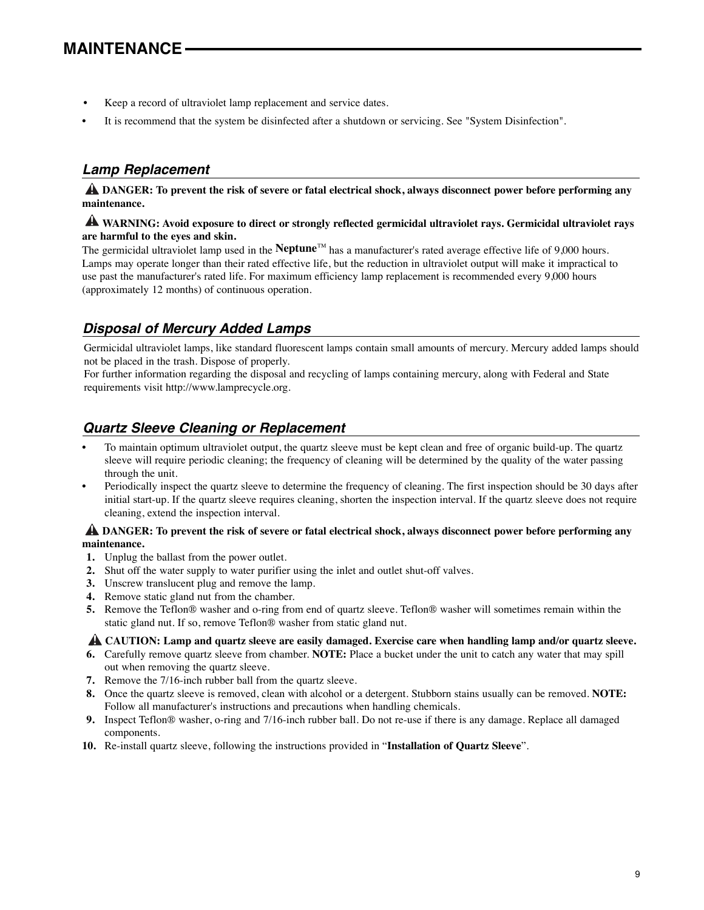- Keep a record of ultraviolet lamp replacement and service dates.
- It is recommend that the system be disinfected after a shutdown or servicing. See "System Disinfection".

## *Lamp Replacement*

**DANGER: To prevent the risk of severe or fatal electrical shock, always disconnect power before performing any !maintenance.**

## **WARNING: Avoid exposure to direct or strongly reflected germicidal ultraviolet rays. Germicidal ultraviolet rays ! are harmful to the eyes and skin.**

The germicidal ultraviolet lamp used in the **Neptune**TM has a manufacturer's rated average effective life of 9,000 hours. Lamps may operate longer than their rated effective life, but the reduction in ultraviolet output will make it impractical to use past the manufacturer's rated life. For maximum efficiency lamp replacement is recommended every 9,000 hours (approximately 12 months) of continuous operation.

## *Disposal of Mercury Added Lamps*

Germicidal ultraviolet lamps, like standard fluorescent lamps contain small amounts of mercury. Mercury added lamps should not be placed in the trash. Dispose of properly.

For further information regarding the disposal and recycling of lamps containing mercury, along with Federal and State requirements visit http://www.lamprecycle.org.

## *Quartz Sleeve Cleaning or Replacement*

- To maintain optimum ultraviolet output, the quartz sleeve must be kept clean and free of organic build-up. The quartz sleeve will require periodic cleaning; the frequency of cleaning will be determined by the quality of the water passing through the unit.
- Periodically inspect the quartz sleeve to determine the frequency of cleaning. The first inspection should be 30 days after initial start-up. If the quartz sleeve requires cleaning, shorten the inspection interval. If the quartz sleeve does not require cleaning, extend the inspection interval.

#### **DANGER: To prevent the risk of severe or fatal electrical shock, always disconnect power before performing any ! maintenance.**

- **1.** Unplug the ballast from the power outlet.
- **2.** Shut off the water supply to water purifier using the inlet and outlet shut-off valves.
- **3.** Unscrew translucent plug and remove the lamp.
- **4.** Remove static gland nut from the chamber.
- **5.** Remove the Teflon® washer and o-ring from end of quartz sleeve. Teflon® washer will sometimes remain within the static gland nut. If so, remove Teflon® washer from static gland nut.

## **CAUTION: Lamp and quartz sleeve are easily damaged. Exercise care when handling lamp and/or quartz sleeve. !**

- **6.** Carefully remove quartz sleeve from chamber. **NOTE:** Place a bucket under the unit to catch any water that may spill out when removing the quartz sleeve.
- **7.** Remove the 7/16-inch rubber ball from the quartz sleeve.
- **8.** Once the quartz sleeve is removed, clean with alcohol or a detergent. Stubborn stains usually can be removed. **NOTE:** Follow all manufacturer's instructions and precautions when handling chemicals.
- **9.** Inspect Teflon® washer, o-ring and 7/16-inch rubber ball. Do not re-use if there is any damage. Replace all damaged components.
- **10.** Re-install quartz sleeve, following the instructions provided in "**Installation of Quartz Sleeve**".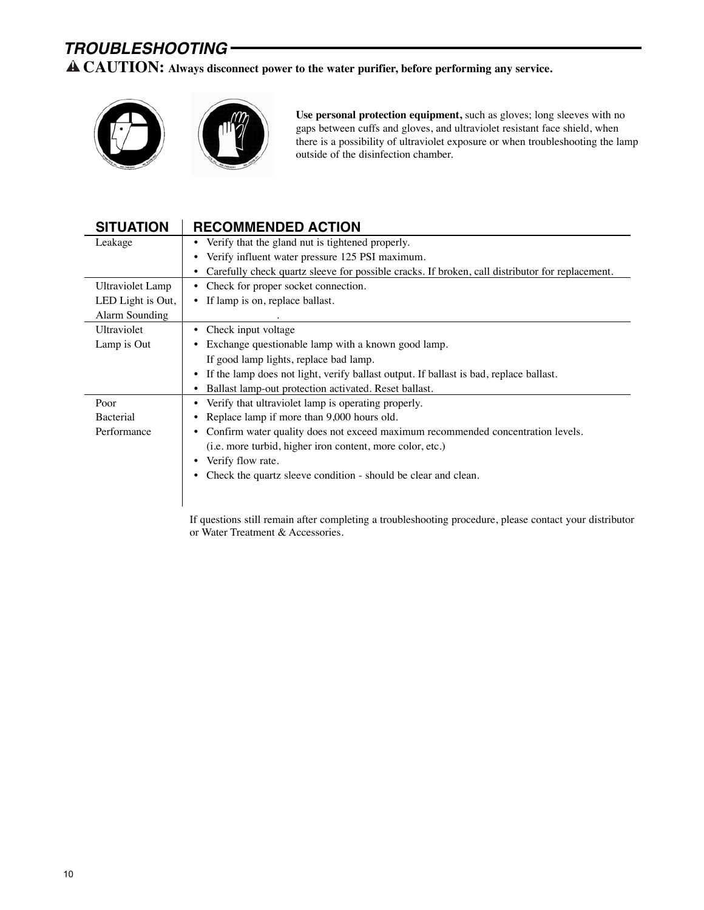# *TROUBLESHOOTING*

**! CAUTION: Always disconnect power to the water purifier, before performing any service.**



**Use personal protection equipment,** such as gloves; long sleeves with no gaps between cuffs and gloves, and ultraviolet resistant face shield, when there is a possibility of ultraviolet exposure or when troubleshooting the lamp outside of the disinfection chamber.

| <b>SITUATION</b>  | <b>RECOMMENDED ACTION</b>                                                                            |  |
|-------------------|------------------------------------------------------------------------------------------------------|--|
| Leakage           | • Verify that the gland nut is tightened properly.                                                   |  |
|                   | Verify influent water pressure 125 PSI maximum.<br>٠                                                 |  |
|                   | Carefully check quartz sleeve for possible cracks. If broken, call distributor for replacement.<br>٠ |  |
| Ultraviolet Lamp  | Check for proper socket connection.<br>$\bullet$                                                     |  |
| LED Light is Out, | • If lamp is on, replace ballast.                                                                    |  |
| Alarm Sounding    |                                                                                                      |  |
| Ultraviolet       | Check input voltage<br>٠                                                                             |  |
| Lamp is Out       | Exchange questionable lamp with a known good lamp.<br>٠                                              |  |
|                   | If good lamp lights, replace bad lamp.                                                               |  |
|                   | If the lamp does not light, verify ballast output. If ballast is bad, replace ballast.<br>٠          |  |
|                   | Ballast lamp-out protection activated. Reset ballast.<br>$\bullet$                                   |  |
| Poor              | Verify that ultraviolet lamp is operating properly.<br>٠                                             |  |
| <b>Bacterial</b>  | Replace lamp if more than 9,000 hours old.                                                           |  |
| Performance       | Confirm water quality does not exceed maximum recommended concentration levels.<br>٠                 |  |
|                   | (i.e. more turbid, higher iron content, more color, etc.)                                            |  |
|                   | Verify flow rate.                                                                                    |  |
|                   | Check the quartz sleeve condition - should be clear and clean.<br>٠                                  |  |
|                   |                                                                                                      |  |
|                   |                                                                                                      |  |

If questions still remain after completing a troubleshooting procedure, please contact your distributor or Water Treatment & Accessories.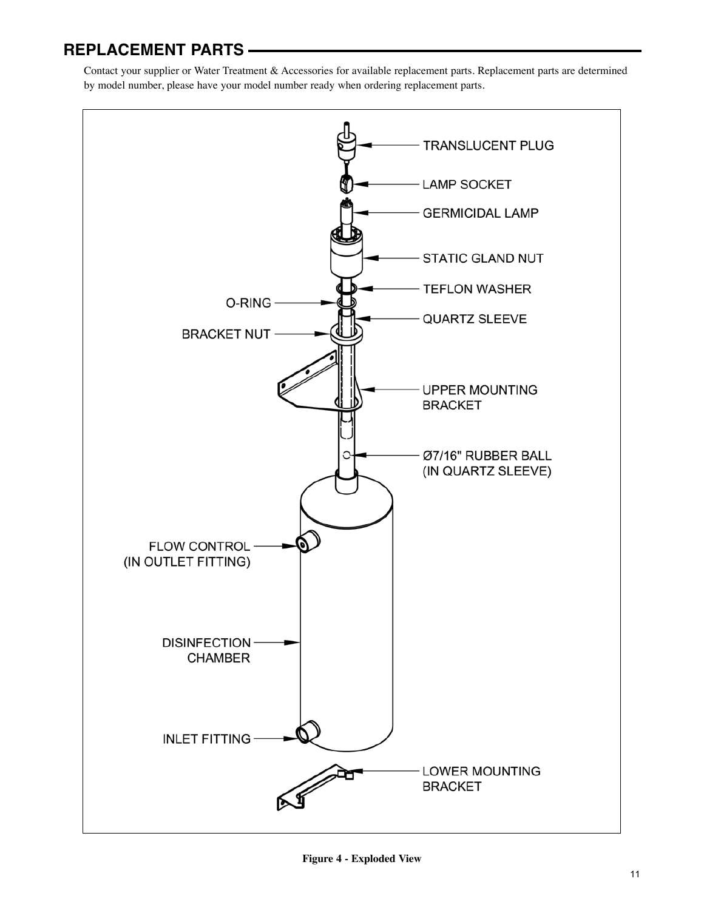# **REPLACEMENT PARTS**

Contact your supplier or Water Treatment & Accessories for available replacement parts. Replacement parts are determined by model number, please have your model number ready when ordering replacement parts.



**Figure 4 - Exploded View**